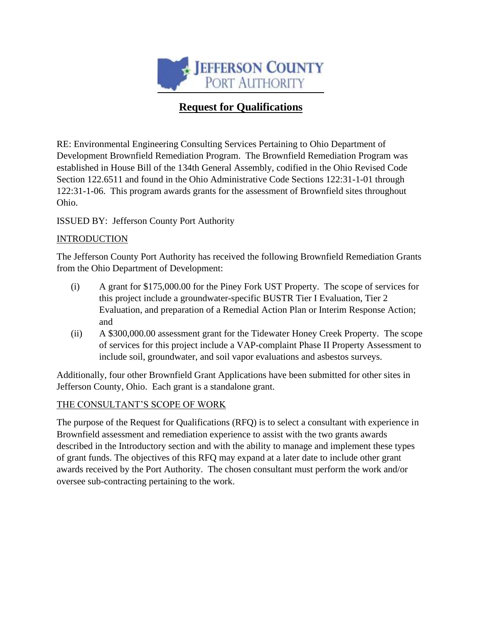

# **Request for Qualifications**

RE: Environmental Engineering Consulting Services Pertaining to Ohio Department of Development Brownfield Remediation Program. The Brownfield Remediation Program was established in House Bill of the 134th General Assembly, codified in the Ohio Revised Code Section 122.6511 and found in the Ohio Administrative Code Sections 122:31-1-01 through 122:31-1-06. This program awards grants for the assessment of Brownfield sites throughout Ohio.

ISSUED BY: Jefferson County Port Authority

### **INTRODUCTION**

The Jefferson County Port Authority has received the following Brownfield Remediation Grants from the Ohio Department of Development:

- (i) A grant for \$175,000.00 for the Piney Fork UST Property. The scope of services for this project include a groundwater-specific BUSTR Tier I Evaluation, Tier 2 Evaluation, and preparation of a Remedial Action Plan or Interim Response Action; and
- (ii) A \$300,000.00 assessment grant for the Tidewater Honey Creek Property. The scope of services for this project include a VAP-complaint Phase II Property Assessment to include soil, groundwater, and soil vapor evaluations and asbestos surveys.

Additionally, four other Brownfield Grant Applications have been submitted for other sites in Jefferson County, Ohio. Each grant is a standalone grant.

## THE CONSULTANT'S SCOPE OF WORK

The purpose of the Request for Qualifications (RFQ) is to select a consultant with experience in Brownfield assessment and remediation experience to assist with the two grants awards described in the Introductory section and with the ability to manage and implement these types of grant funds. The objectives of this RFQ may expand at a later date to include other grant awards received by the Port Authority. The chosen consultant must perform the work and/or oversee sub-contracting pertaining to the work.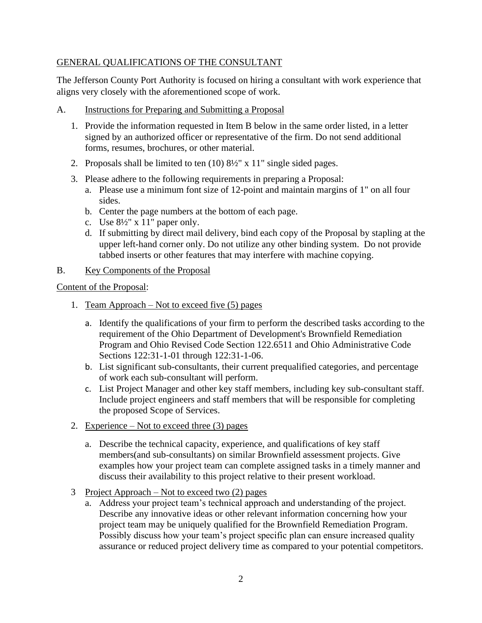#### GENERAL QUALIFICATIONS OF THE CONSULTANT

The Jefferson County Port Authority is focused on hiring a consultant with work experience that aligns very closely with the aforementioned scope of work.

- A. Instructions for Preparing and Submitting a Proposal
	- 1. Provide the information requested in Item B below in the same order listed, in a letter signed by an authorized officer or representative of the firm. Do not send additional forms, resumes, brochures, or other material.
	- 2. Proposals shall be limited to ten (10) 8½" x 11" single sided pages.
	- 3. Please adhere to the following requirements in preparing a Proposal:
		- a. Please use a minimum font size of 12-point and maintain margins of 1" on all four sides.
		- b. Center the page numbers at the bottom of each page.
		- c. Use  $8\frac{1}{2}$ " x 11" paper only.
		- d. If submitting by direct mail delivery, bind each copy of the Proposal by stapling at the upper left-hand corner only. Do not utilize any other binding system. Do not provide tabbed inserts or other features that may interfere with machine copying.

#### B. Key Components of the Proposal

Content of the Proposal:

- 1. Team Approach Not to exceed five (5) pages
	- a. Identify the qualifications of your firm to perform the described tasks according to the requirement of the Ohio Department of Development's Brownfield Remediation Program and Ohio Revised Code Section 122.6511 and Ohio Administrative Code Sections 122:31-1-01 through 122:31-1-06.
	- b. List significant sub-consultants, their current prequalified categories, and percentage of work each sub-consultant will perform.
	- c. List Project Manager and other key staff members, including key sub-consultant staff. Include project engineers and staff members that will be responsible for completing the proposed Scope of Services.
- 2. Experience Not to exceed three (3) pages
	- a. Describe the technical capacity, experience, and qualifications of key staff members(and sub-consultants) on similar Brownfield assessment projects. Give examples how your project team can complete assigned tasks in a timely manner and discuss their availability to this project relative to their present workload.
- 3 Project Approach Not to exceed two (2) pages
	- a. Address your project team's technical approach and understanding of the project. Describe any innovative ideas or other relevant information concerning how your project team may be uniquely qualified for the Brownfield Remediation Program. Possibly discuss how your team's project specific plan can ensure increased quality assurance or reduced project delivery time as compared to your potential competitors.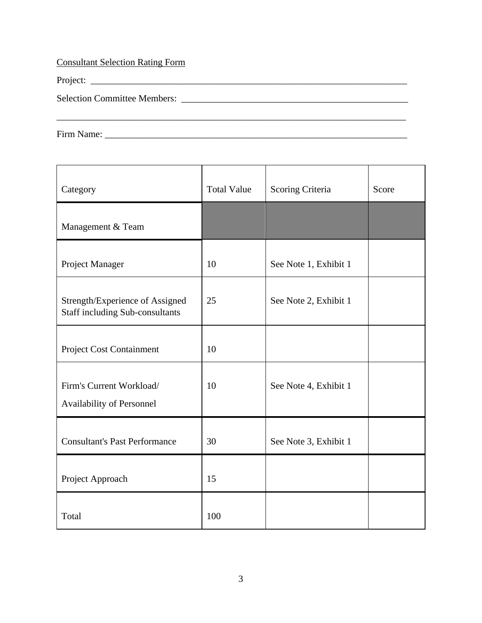Consultant Selection Rating Form

Project: \_\_\_\_\_\_\_\_\_\_\_\_\_\_\_\_\_\_\_\_\_\_\_\_\_\_\_\_\_\_\_\_\_\_\_\_\_\_\_\_\_\_\_\_\_\_\_\_\_\_\_\_\_\_\_\_\_\_\_\_\_\_\_\_\_\_\_

Selection Committee Members: \_\_\_\_\_\_\_\_\_\_\_\_\_\_\_\_\_\_\_\_\_\_\_\_\_\_\_\_\_\_\_\_\_\_\_\_\_\_\_\_\_\_\_\_\_\_\_\_

Firm Name: \_\_\_\_\_\_\_\_\_\_\_\_\_\_\_\_\_\_\_\_\_\_\_\_\_\_\_\_\_\_\_\_\_\_\_\_\_\_\_\_\_\_\_\_\_\_\_\_\_\_\_\_\_\_\_\_\_\_\_\_\_\_\_\_

| Category                                                                  | <b>Total Value</b> | Scoring Criteria      | Score |
|---------------------------------------------------------------------------|--------------------|-----------------------|-------|
| Management & Team                                                         |                    |                       |       |
| Project Manager                                                           | 10                 | See Note 1, Exhibit 1 |       |
| Strength/Experience of Assigned<br><b>Staff including Sub-consultants</b> | 25                 | See Note 2, Exhibit 1 |       |
| Project Cost Containment                                                  | 10                 |                       |       |
| Firm's Current Workload/<br>Availability of Personnel                     | 10                 | See Note 4, Exhibit 1 |       |
| <b>Consultant's Past Performance</b>                                      | 30                 | See Note 3, Exhibit 1 |       |
| Project Approach                                                          | 15                 |                       |       |
| Total                                                                     | 100                |                       |       |

\_\_\_\_\_\_\_\_\_\_\_\_\_\_\_\_\_\_\_\_\_\_\_\_\_\_\_\_\_\_\_\_\_\_\_\_\_\_\_\_\_\_\_\_\_\_\_\_\_\_\_\_\_\_\_\_\_\_\_\_\_\_\_\_\_\_\_\_\_\_\_\_\_\_